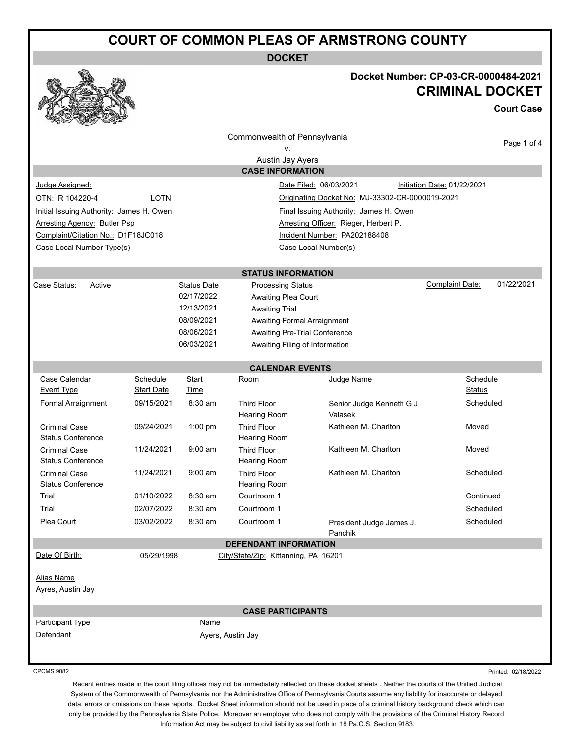## **COURT OF COMMON PLEAS OF ARMSTRONG COUNTY**

**DOCKET**



#### **Docket Number: CP-03-CR-0000484-2021 CRIMINAL DOCKET**

**Court Case**

|                                                                                    |                                        |                    | Commonwealth of Pennsylvania              |                                     |                        |             |  |
|------------------------------------------------------------------------------------|----------------------------------------|--------------------|-------------------------------------------|-------------------------------------|------------------------|-------------|--|
|                                                                                    |                                        |                    | ν.                                        |                                     |                        | Page 1 of 4 |  |
|                                                                                    |                                        |                    | Austin Jay Ayers                          |                                     |                        |             |  |
|                                                                                    |                                        |                    | <b>CASE INFORMATION</b>                   |                                     |                        |             |  |
| Judge Assigned:<br>Date Filed: 06/03/2021<br>Initiation Date: 01/22/2021           |                                        |                    |                                           |                                     |                        |             |  |
| OTN: R 104220-4<br>LOTN:<br>Originating Docket No: MJ-33302-CR-0000019-2021        |                                        |                    |                                           |                                     |                        |             |  |
| Final Issuing Authority: James H. Owen<br>Initial Issuing Authority: James H. Owen |                                        |                    |                                           |                                     |                        |             |  |
| <b>Arresting Agency: Butler Psp</b><br>Arresting Officer: Rieger, Herbert P.       |                                        |                    |                                           |                                     |                        |             |  |
| Complaint/Citation No.: D1F18JC018<br>Incident Number: PA202188408                 |                                        |                    |                                           |                                     |                        |             |  |
| Case Local Number Type(s)<br>Case Local Number(s)                                  |                                        |                    |                                           |                                     |                        |             |  |
|                                                                                    |                                        |                    |                                           |                                     |                        |             |  |
|                                                                                    |                                        |                    | <b>STATUS INFORMATION</b>                 |                                     |                        |             |  |
| Active<br>Case Status:                                                             |                                        | <b>Status Date</b> | <b>Processing Status</b>                  |                                     | <b>Complaint Date:</b> | 01/22/2021  |  |
|                                                                                    |                                        | 02/17/2022         | Awaiting Plea Court                       |                                     |                        |             |  |
|                                                                                    |                                        | 12/13/2021         | <b>Awaiting Trial</b>                     |                                     |                        |             |  |
|                                                                                    |                                        | 08/09/2021         | Awaiting Formal Arraignment               |                                     |                        |             |  |
|                                                                                    |                                        | 08/06/2021         | Awaiting Pre-Trial Conference             |                                     |                        |             |  |
|                                                                                    |                                        | 06/03/2021         | Awaiting Filing of Information            |                                     |                        |             |  |
|                                                                                    |                                        |                    | <b>CALENDAR EVENTS</b>                    |                                     |                        |             |  |
| Case Calendar                                                                      | Schedule                               | Start              | Room                                      | Judge Name                          | Schedule               |             |  |
| <b>Event Type</b>                                                                  | <b>Start Date</b>                      | Time               |                                           |                                     | Status                 |             |  |
| Formal Arraignment                                                                 | 09/15/2021                             | $8:30$ am          | <b>Third Floor</b><br>Hearing Room        | Senior Judge Kenneth G J<br>Valasek |                        | Scheduled   |  |
| <b>Criminal Case</b><br><b>Status Conference</b>                                   | 09/24/2021                             | 1:00 pm            | <b>Third Floor</b><br><b>Hearing Room</b> | Kathleen M. Charlton                | Moved                  |             |  |
| <b>Criminal Case</b><br><b>Status Conference</b>                                   | 11/24/2021                             | $9:00$ am          | <b>Third Floor</b><br>Hearing Room        | Kathleen M. Charlton                | Moved                  |             |  |
| <b>Criminal Case</b><br><b>Status Conference</b>                                   | 11/24/2021                             | $9:00$ am          | <b>Third Floor</b><br>Hearing Room        | Kathleen M. Charlton                | Scheduled              |             |  |
| Trial                                                                              | 01/10/2022                             | 8:30 am            | Courtroom 1                               |                                     | Continued              |             |  |
| Trial                                                                              | $8:30$ am<br>Courtroom 1<br>02/07/2022 |                    |                                           |                                     | Scheduled              |             |  |
| Plea Court                                                                         | 03/02/2022                             | 8:30 am            | Courtroom 1                               | President Judge James J.<br>Panchik | Scheduled              |             |  |
|                                                                                    |                                        |                    | <b>DEFENDANT INFORMATION</b>              |                                     |                        |             |  |
| Date Of Birth:                                                                     | 05/29/1998                             |                    | City/State/Zip: Kittanning, PA 16201      |                                     |                        |             |  |
| <b>Alias Name</b><br>Ayres, Austin Jay                                             |                                        |                    |                                           |                                     |                        |             |  |
|                                                                                    |                                        |                    | <b>CASE PARTICIPANTS</b>                  |                                     |                        |             |  |
| Participant Type                                                                   |                                        | Name               |                                           |                                     |                        |             |  |
| Defendant                                                                          |                                        |                    | Ayers, Austin Jay                         |                                     |                        |             |  |
|                                                                                    |                                        |                    |                                           |                                     |                        |             |  |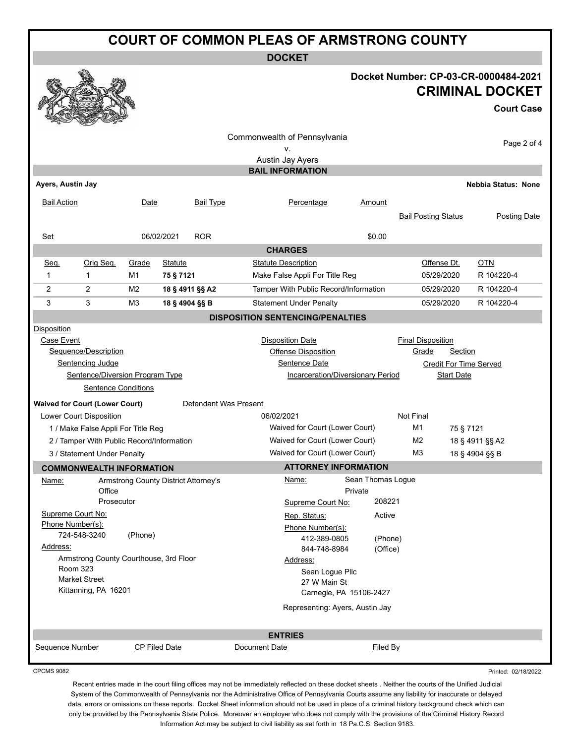## **COURT OF COMMON PLEAS OF ARMSTRONG COUNTY**

**DOCKET**

#### **Docket Number: CP-03-CR-0000484-2021 CRIMINAL DOCKET**

# **Court Case**

Printed: 02/18/2022

| v-                                              | <b>Contract of the Contract of the Contract of The Contract of The Contract of The Contract of The Contract of The Contract of The Contract of The Contract of The Contract of The Contract of The Contract of The Contract of T</b><br>$-2$ |                |                                      |                       |                                                  |                                       |                            |                   |                            |  |
|-------------------------------------------------|----------------------------------------------------------------------------------------------------------------------------------------------------------------------------------------------------------------------------------------------|----------------|--------------------------------------|-----------------------|--------------------------------------------------|---------------------------------------|----------------------------|-------------------|----------------------------|--|
|                                                 |                                                                                                                                                                                                                                              |                |                                      |                       | Commonwealth of Pennsylvania                     |                                       |                            |                   | Page 2 of 4                |  |
|                                                 |                                                                                                                                                                                                                                              |                |                                      |                       | ٧.                                               |                                       |                            |                   |                            |  |
|                                                 |                                                                                                                                                                                                                                              |                |                                      |                       | Austin Jay Ayers                                 |                                       |                            |                   |                            |  |
|                                                 |                                                                                                                                                                                                                                              |                |                                      |                       | <b>BAIL INFORMATION</b>                          |                                       |                            |                   |                            |  |
| Ayers, Austin Jay                               |                                                                                                                                                                                                                                              |                |                                      |                       |                                                  |                                       |                            |                   | <b>Nebbia Status: None</b> |  |
| <b>Bail Action</b>                              |                                                                                                                                                                                                                                              | Date           |                                      | <b>Bail Type</b>      | Percentage                                       | Amount                                |                            |                   |                            |  |
|                                                 |                                                                                                                                                                                                                                              |                |                                      |                       |                                                  |                                       | <b>Bail Posting Status</b> |                   | Posting Date               |  |
|                                                 |                                                                                                                                                                                                                                              |                |                                      |                       |                                                  |                                       |                            |                   |                            |  |
| Set                                             |                                                                                                                                                                                                                                              |                | 06/02/2021                           | <b>ROR</b>            |                                                  | \$0.00                                |                            |                   |                            |  |
|                                                 |                                                                                                                                                                                                                                              |                |                                      |                       | <b>CHARGES</b>                                   |                                       |                            |                   |                            |  |
| Seq.                                            | Orig Seq.                                                                                                                                                                                                                                    | Grade          | <b>Statute</b>                       |                       | <b>Statute Description</b>                       |                                       |                            |                   | OTN                        |  |
| 1                                               | $\mathbf 1$                                                                                                                                                                                                                                  | M1             | 75 § 7121                            |                       | Make False Appli For Title Reg                   |                                       |                            | 05/29/2020        | R 104220-4                 |  |
| $\overline{2}$                                  | $\overline{2}$                                                                                                                                                                                                                               | M <sub>2</sub> | 18 § 4911 §§ A2                      |                       |                                                  | Tamper With Public Record/Information |                            | 05/29/2020        | R 104220-4                 |  |
| 3                                               | 3                                                                                                                                                                                                                                            | M <sub>3</sub> | 18 § 4904 §§ B                       |                       | <b>Statement Under Penalty</b>                   |                                       |                            | 05/29/2020        | R 104220-4                 |  |
|                                                 |                                                                                                                                                                                                                                              |                |                                      |                       | <b>DISPOSITION SENTENCING/PENALTIES</b>          |                                       |                            |                   |                            |  |
| <b>Disposition</b>                              |                                                                                                                                                                                                                                              |                |                                      |                       |                                                  |                                       |                            |                   |                            |  |
| Case Event                                      |                                                                                                                                                                                                                                              |                |                                      |                       | <b>Disposition Date</b>                          |                                       | <b>Final Disposition</b>   |                   |                            |  |
|                                                 | Sequence/Description                                                                                                                                                                                                                         |                |                                      |                       | <b>Offense Disposition</b>                       |                                       | Grade                      | Section           |                            |  |
|                                                 | <b>Sentencing Judge</b>                                                                                                                                                                                                                      |                |                                      |                       | Sentence Date                                    | <b>Credit For Time Served</b>         |                            |                   |                            |  |
|                                                 | Sentence/Diversion Program Type                                                                                                                                                                                                              |                |                                      |                       | Incarceration/Diversionary Period                |                                       |                            | <b>Start Date</b> |                            |  |
|                                                 | <b>Sentence Conditions</b>                                                                                                                                                                                                                   |                |                                      |                       |                                                  |                                       |                            |                   |                            |  |
|                                                 | <b>Waived for Court (Lower Court)</b>                                                                                                                                                                                                        |                |                                      | Defendant Was Present |                                                  |                                       |                            |                   |                            |  |
|                                                 | Lower Court Disposition                                                                                                                                                                                                                      |                |                                      |                       | 06/02/2021                                       |                                       | Not Final                  |                   |                            |  |
|                                                 | 1 / Make False Appli For Title Reg                                                                                                                                                                                                           |                |                                      |                       | Waived for Court (Lower Court)                   |                                       | M1                         | 75 § 7121         |                            |  |
|                                                 | 2 / Tamper With Public Record/Information                                                                                                                                                                                                    |                |                                      |                       | Waived for Court (Lower Court)                   |                                       | M <sub>2</sub>             |                   | 18 § 4911 §§ A2            |  |
|                                                 | 3 / Statement Under Penalty                                                                                                                                                                                                                  |                |                                      |                       | M <sub>3</sub><br>Waived for Court (Lower Court) |                                       |                            |                   | 18 § 4904 §§ B             |  |
|                                                 | <b>COMMONWEALTH INFORMATION</b>                                                                                                                                                                                                              |                |                                      |                       |                                                  | <b>ATTORNEY INFORMATION</b>           |                            |                   |                            |  |
| Name:                                           |                                                                                                                                                                                                                                              |                | Armstrong County District Attorney's |                       | Name:                                            | Sean Thomas Logue                     |                            |                   |                            |  |
|                                                 | Office                                                                                                                                                                                                                                       |                |                                      |                       |                                                  | Private                               |                            |                   |                            |  |
|                                                 | Prosecutor                                                                                                                                                                                                                                   |                |                                      |                       | Supreme Court No:                                | 208221                                |                            |                   |                            |  |
| Supreme Court No:                               |                                                                                                                                                                                                                                              |                |                                      |                       | Rep. Status:                                     | Active                                |                            |                   |                            |  |
| Phone Number(s):                                |                                                                                                                                                                                                                                              |                |                                      |                       | Phone Number(s):                                 |                                       |                            |                   |                            |  |
|                                                 | 724-548-3240                                                                                                                                                                                                                                 | (Phone)        |                                      |                       | 412-389-0805                                     | (Phone)                               |                            |                   |                            |  |
| Address:                                        |                                                                                                                                                                                                                                              |                |                                      |                       | 844-748-8984                                     | (Office)                              |                            |                   |                            |  |
|                                                 | Armstrong County Courthouse, 3rd Floor                                                                                                                                                                                                       |                |                                      |                       | Address:                                         |                                       |                            |                   |                            |  |
| <b>Room 323</b><br>Sean Logue Pllc              |                                                                                                                                                                                                                                              |                |                                      |                       |                                                  |                                       |                            |                   |                            |  |
| <b>Market Street</b><br>27 W Main St            |                                                                                                                                                                                                                                              |                |                                      |                       |                                                  |                                       |                            |                   |                            |  |
| Kittanning, PA 16201<br>Carnegie, PA 15106-2427 |                                                                                                                                                                                                                                              |                |                                      |                       |                                                  |                                       |                            |                   |                            |  |
|                                                 |                                                                                                                                                                                                                                              |                |                                      |                       |                                                  | Representing: Ayers, Austin Jay       |                            |                   |                            |  |
|                                                 |                                                                                                                                                                                                                                              |                |                                      |                       |                                                  |                                       |                            |                   |                            |  |
|                                                 |                                                                                                                                                                                                                                              |                |                                      |                       | <b>ENTRIES</b>                                   |                                       |                            |                   |                            |  |
| Sequence Number                                 |                                                                                                                                                                                                                                              |                | CP Filed Date                        |                       | Document Date                                    | Filed By                              |                            |                   |                            |  |
|                                                 |                                                                                                                                                                                                                                              |                |                                      |                       |                                                  |                                       |                            |                   |                            |  |

CPCMS 9082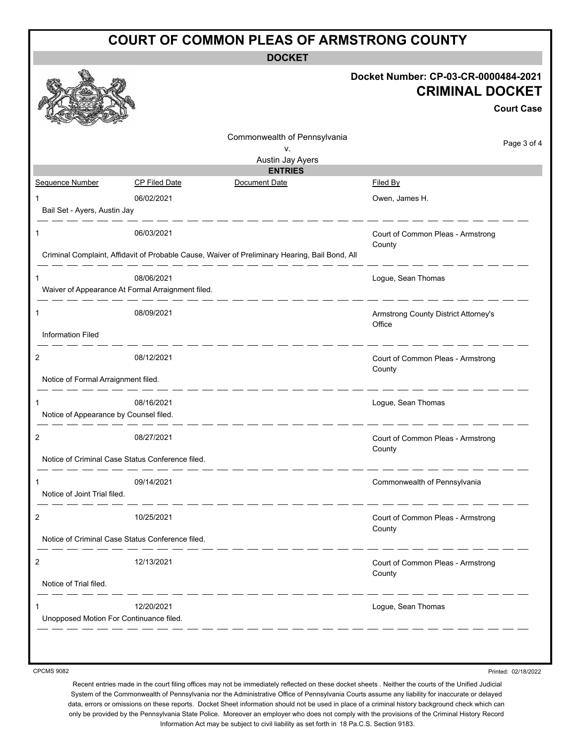| <b>COURT OF COMMON PLEAS OF ARMSTRONG COUNTY</b> |                                                                 |                                                                                                |                                                                                     |  |  |
|--------------------------------------------------|-----------------------------------------------------------------|------------------------------------------------------------------------------------------------|-------------------------------------------------------------------------------------|--|--|
| <b>DOCKET</b>                                    |                                                                 |                                                                                                |                                                                                     |  |  |
|                                                  |                                                                 |                                                                                                | Docket Number: CP-03-CR-0000484-2021<br><b>CRIMINAL DOCKET</b><br><b>Court Case</b> |  |  |
|                                                  |                                                                 | Commonwealth of Pennsylvania<br>٧.<br>Austin Jay Ayers<br><b>ENTRIES</b>                       | Page 3 of 4                                                                         |  |  |
| Sequence Number                                  | <b>CP Filed Date</b>                                            | Document Date                                                                                  | <b>Filed By</b>                                                                     |  |  |
| 1<br>Bail Set - Ayers, Austin Jay                | 06/02/2021                                                      |                                                                                                | Owen, James H.                                                                      |  |  |
|                                                  | 06/03/2021                                                      | Criminal Complaint, Affidavit of Probable Cause, Waiver of Preliminary Hearing, Bail Bond, All | Court of Common Pleas - Armstrong<br>County                                         |  |  |
|                                                  | 08/06/2021<br>Waiver of Appearance At Formal Arraignment filed. |                                                                                                | Logue, Sean Thomas                                                                  |  |  |
| 1<br><b>Information Filed</b>                    | 08/09/2021                                                      |                                                                                                | Armstrong County District Attorney's<br>Office                                      |  |  |
|                                                  |                                                                 |                                                                                                |                                                                                     |  |  |
| 2<br>Notice of Formal Arraignment filed.         | 08/12/2021                                                      |                                                                                                | Court of Common Pleas - Armstrong<br>County                                         |  |  |
|                                                  | 08/16/2021                                                      |                                                                                                | Logue, Sean Thomas                                                                  |  |  |
| Notice of Appearance by Counsel filed.           |                                                                 |                                                                                                |                                                                                     |  |  |
| 2                                                | 08/27/2021                                                      |                                                                                                | Court of Common Pleas - Armstrong<br>County                                         |  |  |
|                                                  | Notice of Criminal Case Status Conference filed.                |                                                                                                |                                                                                     |  |  |
| 1<br>Notice of Joint Trial filed.                | 09/14/2021<br>_ __ __ __ __                                     |                                                                                                | Commonwealth of Pennsylvania                                                        |  |  |
| 2                                                | 10/25/2021                                                      |                                                                                                | Court of Common Pleas - Armstrong<br>County                                         |  |  |
|                                                  | Notice of Criminal Case Status Conference filed.                |                                                                                                |                                                                                     |  |  |
| 2<br>Notice of Trial filed.                      | 12/13/2021                                                      |                                                                                                | Court of Common Pleas - Armstrong<br>County                                         |  |  |
| 1<br>Unopposed Motion For Continuance filed.     | <u>_____________</u><br>12/20/2021                              | - - - - - - - - - - -                                                                          | _ __ __ __ __ __ __<br>Logue, Sean Thomas                                           |  |  |
|                                                  |                                                                 |                                                                                                |                                                                                     |  |  |

CPCMS 9082

Printed: 02/18/2022